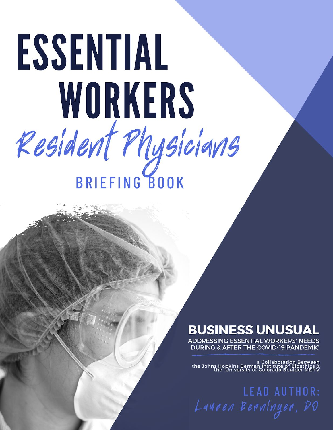# ESSENTIAL WORKERS Resident Physicians **BRIEFING BOOK**

## **BUSINESS UNUSUAL**

**ADDRESSING ESSENTIAL WORKERS' NEEDS DURING & AFTER THE COVID-19 PANDEMIC** 

a Collaboration Between<br>& a Collaboration Between<br>the University of Colorado Boulder MENV

**LEAD AUTHOR:** Lauren Berninger, DO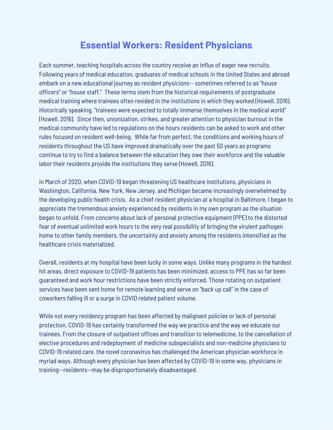## **Essential Workers: Resident Physicians**

Each summer, teaching hospitals across the country receive an influx of eager new recruits. Following years of medical education, graduates of medical schools in the United States and abroad embark on a new educational journey as *resident physicians*-- sometimes referred to as "house officers" or "house staff." These terms stem from the historical requirements of postgraduate medical training where trainees often resided in the institutions in which they worked (Howell, 2016). Historically speaking, "trainees were expected to totally immerse themselves in the medical world" (Howell, 2016). Since then, unionization, strikes, and greater attention to physician burnout in the medical community have led to regulations on the hours residents can be asked to work and other rules focused on resident well-being. While far from perfect, the conditions and working hours of residents throughout the US have improved dramatically over the past 50 years as programs continue to try to find a balance between the education they owe their workforce and the valuable labor their residents provide the institutions they serve (Howell, 2016).

In March of 2020, when COVID-19 began threatening US healthcare institutions, physicians in Washington, California, New York, New Jersey, and Michigan became increasingly overwhelmed by the developing public health crisis. As a chief resident physician at a hospital in Baltimore, I began to appreciate the tremendous anxiety experienced by residents in my own program as the situation began to unfold. From concerns about lack of personal protective equipment (PPE) to the distorted fear of eventual unlimited work hours to the very real possibility of bringing the virulent pathogen home to other family members, the uncertainty and anxiety among the residents intensified as the healthcare crisis materialized.

Overall, residents at my hospital have been lucky in some ways. Unlike many programs in the hardest hit areas, direct exposure to COVID-19 patients has been minimized, access to PPE has so far been guaranteed and work hour restrictions have been strictly enforced. Those rotating on outpatient services have been sent home for remote learning and serve on "back up call" in the case of coworkers falling ill or a surge in COVID related patient volume.

While not every residency program has been affected by malignant policies or lack of personal protection, COVID-19 has certainly transformed the way we practice and the way we educate our trainees. From the closure of outpatient offices and transition to telemedicine, to the cancellation of elective procedures and redeployment of medicine subspecialists and non-medicine physicians to COVID-19 related care, the novel coronavirus has challenged the American physician workforce in myriad ways. Although every physician has been affected by COVID-19 in some way, physicians in training--residents--may be disproportionately disadvantaged.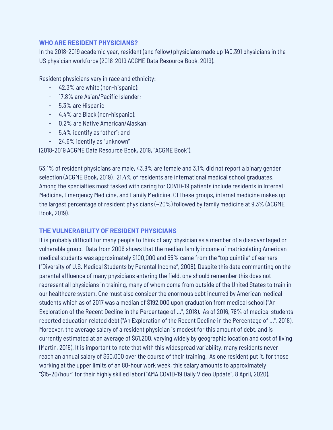#### **WHO ARE RESIDENT PHYSICIANS?**

In the 2018-2019 academic year, resident (and fellow) physicians made up 140,391 physicians in the US physician workforce (2018-2019 ACGME Data Resource Book, 2019).

Resident physicians vary in race and ethnicity:

- 42.3% are white (non-hispanic);
- 17.8% are Asian/Pacific Islander;
- 5.3% are Hispanic
- 4.4% are Black (non-hispanic);
- 0.2% are Native American/Alaskan;
- 5.4% identify as "other"; and
- 24.6% identify as "unknown"

(2018-2019 ACGME Data Resource Book, 2019, "ACGME Book").

53.1% of resident physicians are male, 43.8% are female and 3.1% did not report a binary gender selection (ACGME Book, 2019). 21.4% of residents are international medical school graduates. Among the specialties most tasked with caring for COVID-19 patients include residents in Internal Medicine, Emergency Medicine, and Family Medicine. Of these groups, internal medicine makes up the largest percentage of resident physicians (~20%) followed by family medicine at 9.3% (ACGME Book, 2019).

#### **THE VULNERABILITY OF RESIDENT PHYSICIANS**

It is probably difficult for many people to think of any physician as a member of a disadvantaged or vulnerable group. Data from 2006 shows that the median family income of matriculating American medical students was approximately \$100,000 and 55% came from the "top quintile" of earners ("Diversity of U.S. Medical Students by Parental Income", 2008). Despite this data commenting on the parental affluence of many physicians entering the field, one should remember this does not represent all physicians in training, many of whom come from outside of the United States to train in our healthcare system. One must also consider the enormous debt incurred by American medical students which as of 2017 was a median of \$192,000 upon graduation from medical school ("An Exploration of the Recent Decline in the Percentage of ...", 2018). As of 2016, 78% of medical students reported education related debt ("An Exploration of the Recent Decline in the Percentage of ...", 2018). Moreover, the average salary of a resident physician is modest for this amount of debt, and is currently estimated at an average of \$61,200, varying widely by geographic location and cost of living (Martin, 2019). It is important to note that with this widespread variability, many residents never reach an annual salary of \$60,000 over the course of their training. As one resident put it, for those working at the upper limits of an 80-hour work week, this salary amounts to approximately "\$15-20/hour" for their highly skilled labor ("AMA COVID-19 Daily Video Update", 8 April, 2020).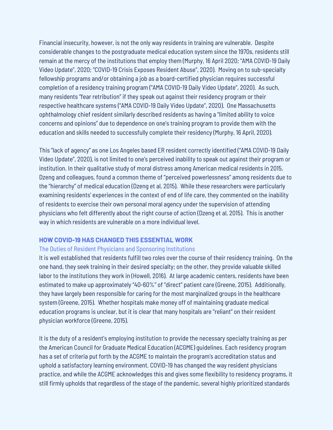Financial insecurity, however, is not the only way residents in training are vulnerable. Despite considerable changes to the postgraduate medical education system since the 1970s, residents still remain at the mercy of the institutions that employ them (Murphy, 16 April 2020; "AMA COVID-19 Daily Video Update", 2020; "COVID-19 Crisis Exposes Resident Abuse", 2020). Moving on to sub-specialty fellowship programs and/or obtaining a job as a board-certified physician requires successful completion of a residency training program ("AMA COVID-19 Daily Video Update", 2020). As such, many residents "fear retribution" if they speak out against their residency program or their respective healthcare systems ("AMA COVID-19 Daily Video Update", 2020). One Massachusetts ophthalmology chief resident similarly described residents as having a "limited ability to voice concerns and opinions" due to dependence on one's training program to provide them with the education and skills needed to successfully complete their residency (Murphy, 16 April, 2020).

This "lack of agency" as one Los Angeles based ER resident correctly identified ("AMA COVID-19 Daily Video Update", 2020), is not limited to one's perceived inability to speak out against their program or institution. In their qualitative study of moral distress among American medical residents in 2015, Dzeng and colleagues, found a common theme of "perceived powerlessness" among residents due to the "hierarchy" of medical education (Dzeng et al, 2015). While these researchers were particularly examining residents' experiences in the context of end of life care, they commented on the inability of residents to exercise their own personal moral agency under the supervision of attending physicians who felt differently about the right course of action (Dzeng et al, 2015). This is another way in which residents are vulnerable on a more individual level.

#### **HOW COVID-19 HAS CHANGED THIS ESSENTIAL WORK**

#### The Duties of Resident Physicians and Sponsoring Institutions

It is well established that residents fulfill two roles over the course of their residency training. On the one hand, they seek training in their desired specialty; on the other, they provide valuable skilled labor to the institutions they work in (Howell, 2016). At large academic centers, residents have been estimated to make up approximately "40-60%" of "direct" patient care (Greene, 2015). Additionally, they have largely been responsible for caring for the most marginalized groups in the healthcare system (Greene, 2015). Whether hospitals make money off of maintaining graduate medical education programs is unclear, but it is clear that many hospitals are "reliant" on their resident physician workforce (Greene, 2015).

It is the duty of a resident's employing institution to provide the necessary specialty training as per the American Council for Graduate Medical Education (ACGME) guidelines. Each residency program has a set of criteria put forth by the ACGME to maintain the program's accreditation status and uphold a satisfactory learning environment. COVID-19 has changed the way resident physicians practice, and while the ACGME acknowledges this and gives some flexibility to residency programs, it still firmly upholds that regardless of the stage of the pandemic, several highly prioritized standards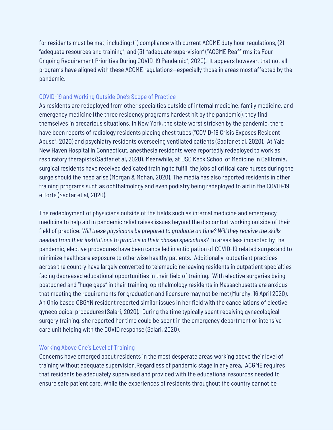for residents must be met, including: (1) compliance with current ACGME duty hour regulations, (2) "adequate resources and training", and (3) "adequate supervision" ("ACGME Reaffirms its Four Ongoing Requirement Priorities During COVID-19 Pandemic", 2020). It appears however, that not all programs have aligned with these ACGME regulations—especially those in areas most affected by the pandemic.

#### COVID-19 and Working Outside One's Scope of Practice

As residents are redeployed from other specialties outside of internal medicine, family medicine, and emergency medicine (the three residency programs hardest hit by the pandemic), they find themselves in precarious situations. In New York, the state worst stricken by the pandemic, there have been reports of radiology residents placing chest tubes ("COVID-19 Crisis Exposes Resident Abuse", 2020) and psychiatry residents overseeing ventilated patients (Sadfar et al, 2020). At Yale New Haven Hospital in Connecticut, anesthesia residents were reportedly redeployed to work as respiratory therapists (Sadfar et al, 2020). Meanwhile, at USC Keck School of Medicine in California, surgical residents have received dedicated training to fulfill the jobs of critical care nurses during the surge should the need arise (Morgan & Mohan, 2020). The media has also reported residents in other training programs such as ophthalmology and even podiatry being redeployed to aid in the COVID-19 efforts (Sadfar et al, 2020).

The redeployment of physicians outside of the fields such as internal medicine and emergency medicine to help aid in pandemic relief raises issues beyond the discomfort working outside of their field of practice. *Will these physicians be prepared to graduate on time? Will they receive the skills needed from their institutions to practice in their chosen specialties?* In areas less impacted by the pandemic, elective procedures have been cancelled in anticipation of COVID-19 related surges and to minimize healthcare exposure to otherwise healthy patients. Additionally, outpatient practices across the country have largely converted to telemedicine leaving residents in outpatient specialties facing decreased educational opportunities in their field of training. With elective surgeries being postponed and "huge gaps" in their training, ophthalmology residents in Massachusetts are anxious that meeting the requirements for graduation and licensure may not be met (Murphy, 16 April 2020). An Ohio based OBGYN resident reported similar issues in her field with the cancellations of elective gynecological procedures (Salari, 2020). During the time typically spent receiving gynecological surgery training, she reported her time could be spent in the emergency department or intensive care unit helping with the COVID response (Salari, 2020).

#### Working Above One's Level of Training

Concerns have emerged about residents in the most desperate areas working above their level of training without adequate supervision.Regardless of pandemic stage in any area, ACGME requires that residents be adequately supervised and provided with the educational resources needed to ensure safe patient care. While the experiences of residents throughout the country cannot be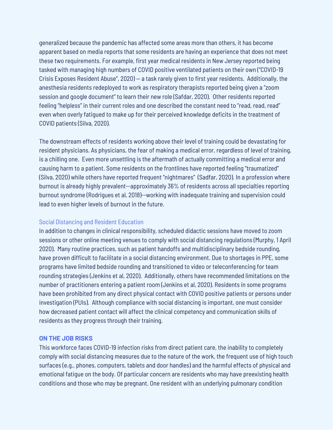generalized because the pandemic has affected some areas more than others, it has become apparent based on media reports that some residents are having an experience that does not meet these two requirements. For example, first year medical residents in New Jersey reported being tasked with managing high numbers of COVID positive ventilated patients on their own ("COVID-19 Crisis Exposes Resident Abuse", 2020) — a task rarely given to first year residents. Additionally, the anesthesia residents redeployed to work as respiratory therapists reported being given a "zoom session and google document" to learn their new role (Safdar, 2020). Other residents reported feeling "helpless" in their current roles and one described the constant need to "read, read, read" even when overly fatigued to make up for their perceived knowledge deficits in the treatment of COVID patients (Silva, 2020).

The downstream effects of residents working above their level of training could be devastating for resident physicians. As physicians, the fear of making a medical error, regardless of level of training, is a chilling one. Even more unsettling is the aftermath of actually committing a medical error and causing harm to a patient. Some residents on the frontlines have reported feeling "traumatized" (Silva, 2020) while others have reported frequent "nightmares" (Sadfar, 2020). In a profession where burnout is already highly prevalent--approximately 36% of residents across all specialties reporting burnout syndrome (Rodrigues et al, 2018)--working with inadequate training and supervision could lead to even higher levels of burnout in the future.

#### Social Distancing and Resident Education

In addition to changes in clinical responsibility, scheduled didactic sessions have moved to zoom sessions or other online meeting venues to comply with social distancing regulations (Murphy, 1 April 2020). Many routine practices, such as patient handoffs and multidisciplinary bedside rounding, have proven difficult to facilitate in a social distancing environment. Due to shortages in PPE, some programs have limited bedside rounding and transitioned to video or teleconferencing for team rounding strategies (Jenkins et al, 2020). Additionally, others have recommended limitations on the number of practitioners entering a patient room (Jenkins et al, 2020). Residents in some programs have been prohibited from any direct physical contact with COVID positive patients or persons under investigation (PUIs). Although compliance with social distancing is important, one must consider how decreased patient contact will affect the clinical competency and communication skills of residents as they progress through their training.

#### **ON THE JOB RISKS**

This workforce faces COVID-19 infection risks from direct patient care, the inability to completely comply with social distancing measures due to the nature of the work, the frequent use of high touch surfaces (e.g., phones, computers, tablets and door handles) and the harmful effects of physical and emotional fatigue on the body. Of particular concern are residents who may have preexisting health conditions and those who may be pregnant. One resident with an underlying pulmonary condition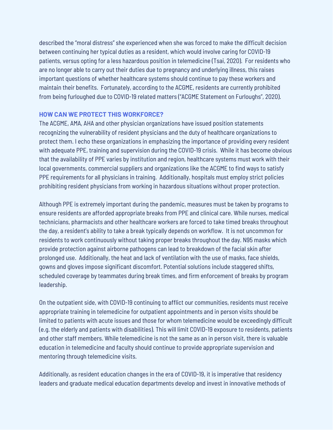described the "moral distress" she experienced when she was forced to make the difficult decision between continuing her typical duties as a resident, which would involve caring for COVID-19 patients, versus opting for a less hazardous position in telemedicine (Tsai, 2020). For residents who are no longer able to carry out their duties due to pregnancy and underlying illness, this raises important questions of whether healthcare systems should continue to pay these workers and maintain their benefits. Fortunately, according to the ACGME, residents are currently prohibited from being furloughed due to COVID-19 related matters ("ACGME Statement on Furloughs", 2020).

#### **HOW CAN WE PROTECT THIS WORKFORCE?**

The ACGME, AMA, AHA and other physician organizations have issued position statements recognizing the vulnerability of resident physicians and the duty of healthcare organizations to protect them. I echo these organizations in emphasizing the importance of providing every resident with adequate PPE, training and supervision during the COVID-19 crisis. While it has become obvious that the availability of PPE varies by institution and region, healthcare systems must work with their local governments, commercial suppliers and organizations like the ACGME to find ways to satisfy PPE requirements for all physicians in training. Additionally, hospitals must employ strict policies prohibiting resident physicians from working in hazardous situations without proper protection.

Although PPE is extremely important during the pandemic, measures must be taken by programs to ensure residents are afforded appropriate breaks from PPE and clinical care. While nurses, medical technicians, pharmacists and other healthcare workers are forced to take timed breaks throughout the day, a resident's ability to take a break typically depends on workflow. It is not uncommon for residents to work continuously without taking proper breaks throughout the day. N95 masks which provide protection against airborne pathogens can lead to breakdown of the facial skin after prolonged use. Additionally, the heat and lack of ventilation with the use of masks, face shields, gowns and gloves impose significant discomfort. Potential solutions include staggered shifts, scheduled coverage by teammates during break times, and firm enforcement of breaks by program leadership.

On the outpatient side, with COVID-19 continuing to afflict our communities, residents must receive appropriate training in telemedicine for outpatient appointments and in person visits should be limited to patients with acute issues and those for whom telemedicine would be exceedingly difficult (e.g. the elderly and patients with disabilities). This will limit COVID-19 exposure to residents, patients and other staff members. While telemedicine is not the same as an in person visit, there is valuable education in telemedicine and faculty should continue to provide appropriate supervision and mentoring through telemedicine visits.

Additionally, as resident education changes in the era of COVID-19, it is imperative that residency leaders and graduate medical education departments develop and invest in innovative methods of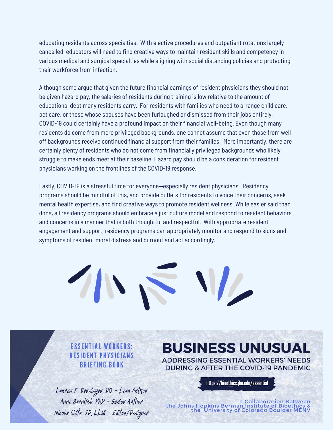educating residents across specialties. With elective procedures and outpatient rotations largely cancelled, educators will need to find creative ways to maintain resident skills and competency in various medical and surgical specialties while aligning with social distancing policies and protecting their workforce from infection.

Although some argue that given the future financial earnings of resident physicians they should not be given hazard pay, the salaries of residents during training is low relative to the amount of educational debt many residents carry. For residents with families who need to arrange child care, pet care, or those whose spouses have been furloughed or dismissed from their jobs entirely, COVID-19 could certainly have a profound impact on their financial well-being. Even though many residents do come from more privileged backgrounds, one cannot assume that even those from well off backgrounds receive continued financial support from their families. More importantly, there are certainly plenty of residents who do not come from financially privileged backgrounds who likely struggle to make ends meet at their baseline. Hazard pay should be a consideration for resident physicians working on the frontlines of the COVID-19 response.

Lastly, COVID-19 is a stressful time for everyone—especially resident physicians. Residency programs should be mindful of this, and provide outlets for residents to voice their concerns, seek mental health expertise, and find creative ways to promote resident wellness. While easier said than done, all residency programs should embrace a just culture model and respond to resident behaviors and concerns in a manner that is both thoughtful and respectful. With appropriate resident engagement and support, residency programs can appropriately monitor and respond to signs and symptoms of resident moral distress and burnout and act accordingly.



**ESSENTIAL WORKERS: RESIDENT PHYSICIANS BRIEFING BOOK** 

Lauren E. Berninger, DO - Lead Author Anne Barnhill, PhD - Senior Author Nicole Civita, JD, LLM - Editor/Designer **BUSINESS UNUSUAL ADDRESSING ESSENTIAL WORKERS' NEEDS DURING & AFTER THE COVID-19 PANDEMIC** 

https://bioethics.jhu.edu/essential

a Collaboration Between<br>& the Johns Hopkins Berman Institute of Bioethics<br>the University of Colorado Boulder MENV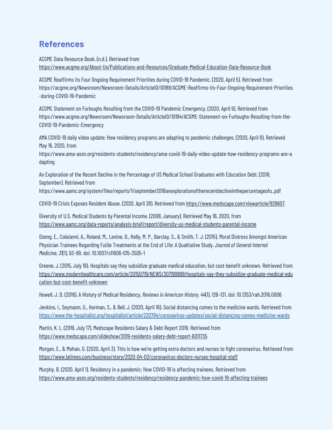### **References**

ACGME Data Resource Book. (n.d.). Retrieved from <https://www.acgme.org/About-Us/Publications-and-Resources/Graduate-Medical-Education-Data-Resource-Book>

ACGME Reaffirms its Four Ongoing Requirement Priorities during COVID-19 Pandemic. (2020, April 5). Retrieved from https://acgme.org/Newsroom/Newsroom-Details/ArticleID/10188/ACGME-Reaffirms-its-Four-Ongoing-Requirement-Priorities -during-COVID-19-Pandemic

ACGME Statement on Furloughs Resulting from the COVID-19 Pandemic Emergency. (2020, April 9). Retrieved from https://www.acgme.org/Newsroom/Newsroom-Details/ArticleID/10194/ACGME-Statement-on-Furloughs-Resulting-from-the-COVID-19-Pandemic-Emergency

AMA COVID-19 daily video update: How residency programs are adapting to pandemic challenges. (2020, April 8). Retrieved May 16, 2020, from

https://www.ama-assn.org/residents-students/residency/ama-covid-19-daily-video-update-how-residency-programs-are-a dapting

An Exploration of the Recent Decline in the Percentage of US Medical School Graduates with Education Debt. (2018, September). Retrieved from

https://www.aamc.org/system/files/reports/1/september2018anexplorationoftherecentdeclineinthepercentageofu..pdf

COVID-19 Crisis Exposes Resident Abuse. (2020, April 28). Retrieved from [https://www.medscape.com/viewarticle/929607.](https://www.medscape.com/viewarticle/929607)

Diversity of U.S. Medical Students by Parental Income. (2008, January). Retrieved May 16, 2020, from <https://www.aamc.org/data-reports/analysis-brief/report/diversity-us-medical-students-parental-income>

Dzeng, E., Colaianni, A., Roland, M., Levine, D., Kelly, M. P., Barclay, S., & Smith, T. J. (2015). Moral Distress Amongst American Physician Trainees Regarding Futile Treatments at the End of Life: A Qualitative Study. *Journal of General Internal Medicine*, *31*(1), 93–99. doi: 10.1007/s11606-015-3505-1

Greene, J. (2015, July 19). Hospitals say they subsidize graduate medical education, but cost-benefit unknown. Retrieved from [https://www.modernhealthcare.com/article/20150719/NEWS/307199999/hospitals-say-they-subsidize-graduate-medical-edu](https://www.modernhealthcare.com/article/20150719/NEWS/307199999/hospitals-say-they-subsidize-graduate-medical-education-but-cost-benefit-unknown) [cation-but-cost-benefit-unknown](https://www.modernhealthcare.com/article/20150719/NEWS/307199999/hospitals-say-they-subsidize-graduate-medical-education-but-cost-benefit-unknown)

Howell, J. D. (2016). A History of Medical Residency. *Reviews in American History*, *44*(1), 126–131. doi: 10.1353/rah.2016.0006

Jenkins, I., Seymann, G., Horman, S., & Bell, J. (2020, April 16). Social distancing comes to the medicine wards. Retrieved from <https://www.the-hospitalist.org/hospitalist/article/220794/coronavirus-updates/social-distancing-comes-medicine-wards>

Martin, K. L. (2019, July 17). Medscape Residents Salary & Debt Report 2019. Retrieved from <https://www.medscape.com/slideshow/2019-residents-salary-debt-report-6011735>

Morgan, E., & Mohan, G. (2020, April 3). This is how we're getting extra doctors and nurses to fight coronavirus. Retrieved from <https://www.latimes.com/business/story/2020-04-03/coronavirus-doctors-nurses-hospital-staff>

Murphy, B. (2020, April 1). Residency in a pandemic: How COVID-19 is affecting trainees. Retrieved from <https://www.ama-assn.org/residents-students/residency/residency-pandemic-how-covid-19-affecting-trainees>